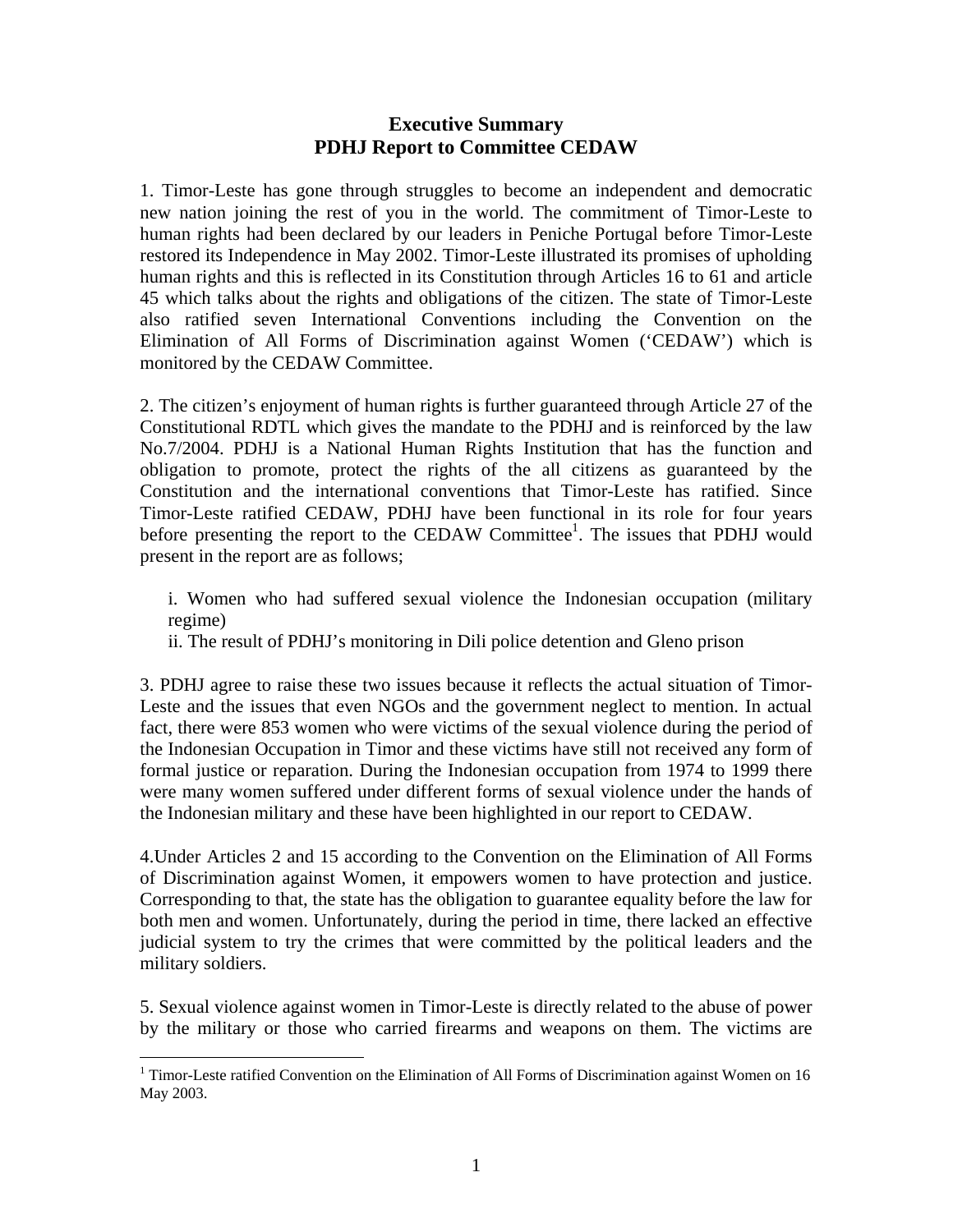## **Executive Summary PDHJ Report to Committee CEDAW**

1. Timor-Leste has gone through struggles to become an independent and democratic new nation joining the rest of you in the world. The commitment of Timor-Leste to human rights had been declared by our leaders in Peniche Portugal before Timor-Leste restored its Independence in May 2002. Timor-Leste illustrated its promises of upholding human rights and this is reflected in its Constitution through Articles 16 to 61 and article 45 which talks about the rights and obligations of the citizen. The state of Timor-Leste also ratified seven International Conventions including the Convention on the Elimination of All Forms of Discrimination against Women ('CEDAW') which is monitored by the CEDAW Committee.

2. The citizen's enjoyment of human rights is further guaranteed through Article 27 of the Constitutional RDTL which gives the mandate to the PDHJ and is reinforced by the law No.7/2004. PDHJ is a National Human Rights Institution that has the function and obligation to promote, protect the rights of the all citizens as guaranteed by the Constitution and the international conventions that Timor-Leste has ratified. Since Timor-Leste ratified CEDAW, PDHJ have been functional in its role for four years before presenting the report to the CEDAW Committee<sup>1</sup>. The issues that PDHJ would present in the report are as follows;

i. Women who had suffered sexual violence the Indonesian occupation (military regime)

ii. The result of PDHJ's monitoring in Dili police detention and Gleno prison

3. PDHJ agree to raise these two issues because it reflects the actual situation of Timor-Leste and the issues that even NGOs and the government neglect to mention. In actual fact, there were 853 women who were victims of the sexual violence during the period of the Indonesian Occupation in Timor and these victims have still not received any form of formal justice or reparation. During the Indonesian occupation from 1974 to 1999 there were many women suffered under different forms of sexual violence under the hands of the Indonesian military and these have been highlighted in our report to CEDAW.

4.Under Articles 2 and 15 according to the Convention on the Elimination of All Forms of Discrimination against Women, it empowers women to have protection and justice. Corresponding to that, the state has the obligation to guarantee equality before the law for both men and women. Unfortunately, during the period in time, there lacked an effective judicial system to try the crimes that were committed by the political leaders and the military soldiers.

5. Sexual violence against women in Timor-Leste is directly related to the abuse of power by the military or those who carried firearms and weapons on them. The victims are

 $\overline{a}$ <sup>1</sup> Timor-Leste ratified Convention on the Elimination of All Forms of Discrimination against Women on 16 May 2003.